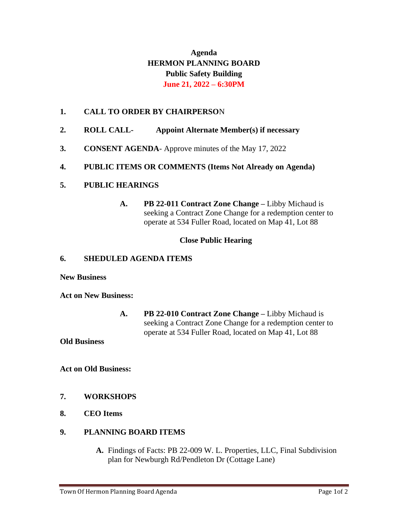# **Agenda HERMON PLANNING BOARD Public Safety Building June 21, 2022 – 6:30PM**

## **1. CALL TO ORDER BY CHAIRPERSO**N

- **2. ROLL CALL- Appoint Alternate Member(s) if necessary**
- **3. CONSENT AGENDA** Approve minutes of the May 17, 2022

### **4. PUBLIC ITEMS OR COMMENTS (Items Not Already on Agenda)**

## **5. PUBLIC HEARINGS**

**A. PB 22-011 Contract Zone Change –** Libby Michaud is seeking a Contract Zone Change for a redemption center to operate at 534 Fuller Road, located on Map 41, Lot 88

### **Close Public Hearing**

#### **6. SHEDULED AGENDA ITEMS**

**New Business**

**Act on New Business:**

**A. PB 22-010 Contract Zone Change –** Libby Michaud is seeking a Contract Zone Change for a redemption center to operate at 534 Fuller Road, located on Map 41, Lot 88

**Old Business**

**Act on Old Business:**

## **7. WORKSHOPS**

**8. CEO Items**

#### **9. PLANNING BOARD ITEMS**

**A.** Findings of Facts: PB 22-009 W. L. Properties, LLC, Final Subdivision plan for Newburgh Rd/Pendleton Dr (Cottage Lane)